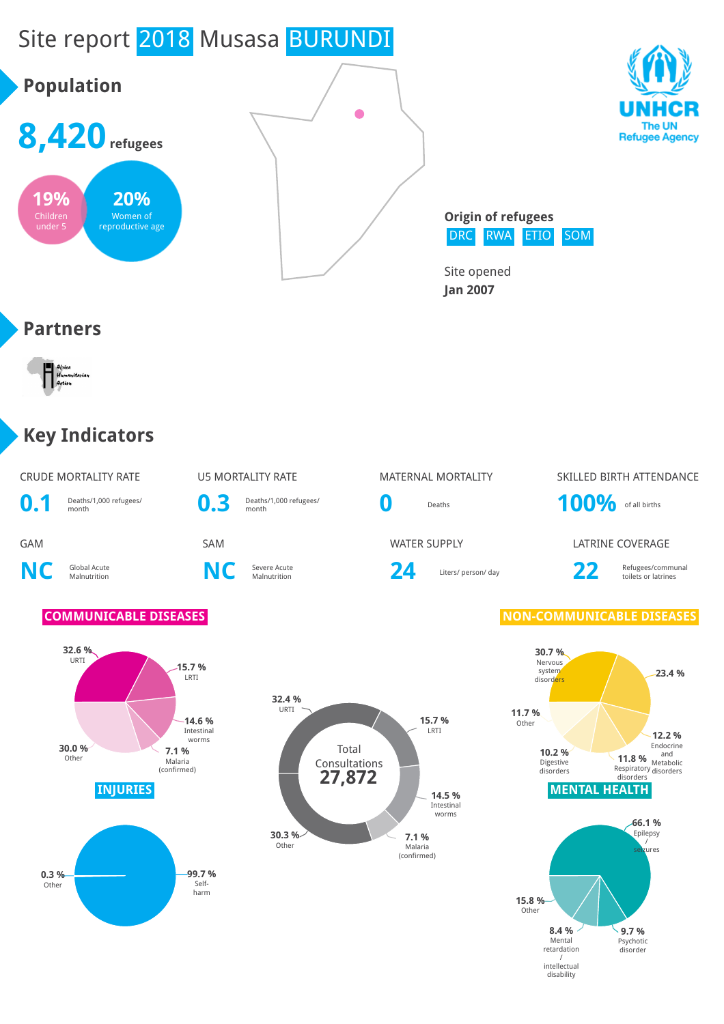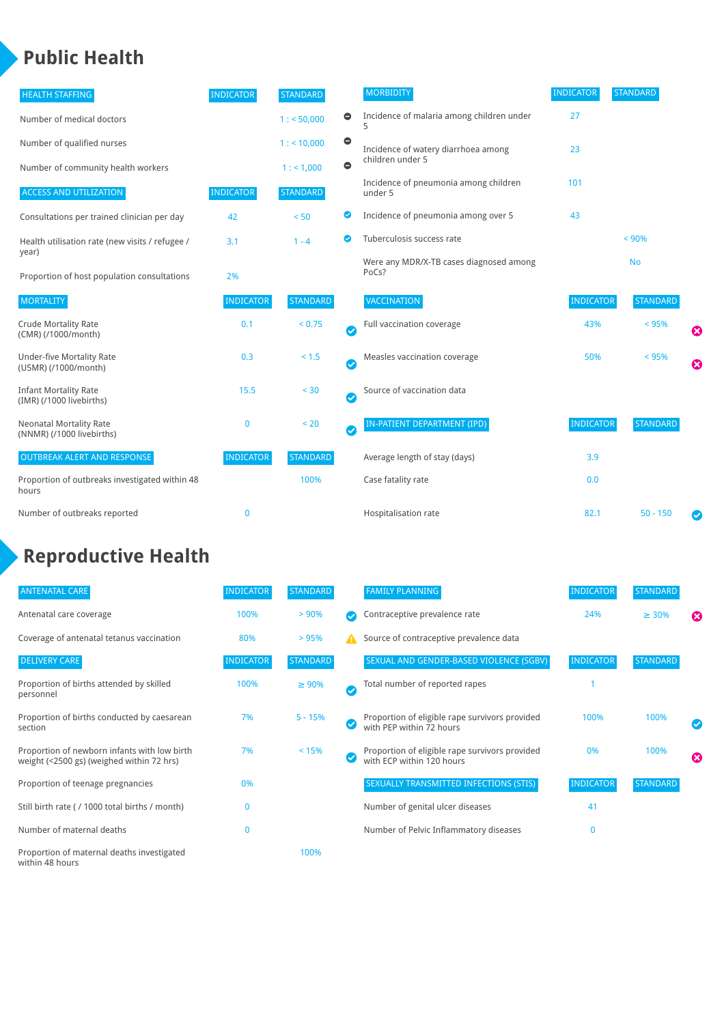## **Public Health**

| <b>HEALTH STAFFING</b>                                      | <b>INDICATOR</b> | <b>STANDARD</b> |           | <b>MORBIDITY</b>                                 | <b>INDICATOR</b> | <b>STANDARD</b> |   |
|-------------------------------------------------------------|------------------|-----------------|-----------|--------------------------------------------------|------------------|-----------------|---|
| Number of medical doctors                                   |                  | 1: 50,000       | $\bullet$ | Incidence of malaria among children under        | 27               |                 |   |
| Number of qualified nurses                                  |                  | 1:10,000        | $\bullet$ | Incidence of watery diarrhoea among              | 23               |                 |   |
| Number of community health workers                          |                  | 1: 1,000        | $\bullet$ | children under 5                                 |                  |                 |   |
| <b>ACCESS AND UTILIZATION</b>                               | <b>INDICATOR</b> | <b>STANDARD</b> |           | Incidence of pneumonia among children<br>under 5 | 101              |                 |   |
| Consultations per trained clinician per day                 | 42               | < 50            | ◉         | Incidence of pneumonia among over 5              | 43               |                 |   |
| Health utilisation rate (new visits / refugee /             | 3.1              | $1 - 4$         | ◙         | Tuberculosis success rate                        |                  | < 90%           |   |
| year)<br>Proportion of host population consultations        | 2%               |                 |           | Were any MDR/X-TB cases diagnosed among<br>PoCs? |                  | <b>No</b>       |   |
| <b>MORTALITY</b>                                            | <b>INDICATOR</b> | <b>STANDARD</b> |           | VACCINATION                                      | <b>INDICATOR</b> | <b>STANDARD</b> |   |
| <b>Crude Mortality Rate</b><br>(CMR) (/1000/month)          | 0.1              | < 0.75          | Ø         | Full vaccination coverage                        | 43%              | < 95%           | Ø |
| <b>Under-five Mortality Rate</b><br>(U5MR) (/1000/month)    | 0.3              | < 1.5           | Ø         | Measles vaccination coverage                     | 50%              | < 95%           | Ø |
| <b>Infant Mortality Rate</b><br>(IMR) (/1000 livebirths)    | 15.5             | < 30            | Ø         | Source of vaccination data                       |                  |                 |   |
| <b>Neonatal Mortality Rate</b><br>(NNMR) (/1000 livebirths) | $\mathbf{0}$     | < 20            | $\bullet$ | IN-PATIENT DEPARTMENT (IPD)                      | <b>INDICATOR</b> | <b>STANDARD</b> |   |
| <b>OUTBREAK ALERT AND RESPONSE</b>                          | <b>INDICATOR</b> | <b>STANDARD</b> |           | Average length of stay (days)                    | 3.9              |                 |   |
| Proportion of outbreaks investigated within 48<br>hours     |                  | 100%            |           | Case fatality rate                               | 0.0              |                 |   |
| Number of outbreaks reported                                | $\mathbf{0}$     |                 |           | Hospitalisation rate                             | 82.1             | $50 - 150$      |   |

# **Reproductive Health**

| <b>ANTENATAL CARE</b>                                                                     | <b>INDICATOR</b> | <b>STANDARD</b> |                       | <b>FAMILY PLANNING</b>                                                      | <b>INDICATOR</b> | <b>STANDARD</b> |                       |
|-------------------------------------------------------------------------------------------|------------------|-----------------|-----------------------|-----------------------------------------------------------------------------|------------------|-----------------|-----------------------|
| Antenatal care coverage                                                                   | 100%             | > 90%           |                       | Contraceptive prevalence rate                                               | 24%              | $\geq 30\%$     | $\boldsymbol{\omega}$ |
| Coverage of antenatal tetanus vaccination                                                 | 80%              | >95%            | А                     | Source of contraceptive prevalence data                                     |                  |                 |                       |
| <b>DELIVERY CARE</b>                                                                      | <b>INDICATOR</b> | <b>STANDARD</b> |                       | SEXUAL AND GENDER-BASED VIOLENCE (SGBV)                                     | <b>INDICATOR</b> | STANDARD        |                       |
| Proportion of births attended by skilled<br>personnel                                     | 100%             | $\geq 90\%$     | $\boldsymbol{\sigma}$ | Total number of reported rapes                                              |                  |                 |                       |
| Proportion of births conducted by caesarean<br>section                                    | 7%               | $5 - 15%$       |                       | Proportion of eligible rape survivors provided<br>with PEP within 72 hours  | 100%             | 100%            |                       |
| Proportion of newborn infants with low birth<br>weight (<2500 gs) (weighed within 72 hrs) | 7%               | < 15%           |                       | Proportion of eligible rape survivors provided<br>with ECP within 120 hours | 0%               | 100%            | ☎                     |
| Proportion of teenage pregnancies                                                         | 0%               |                 |                       | <b>SEXUALLY TRANSMITTED INFECTIONS (STIS)</b>                               | <b>INDICATOR</b> | <b>STANDARD</b> |                       |
| Still birth rate (/ 1000 total births / month)                                            |                  |                 |                       | Number of genital ulcer diseases                                            | 41               |                 |                       |
| Number of maternal deaths                                                                 | $\mathbf{0}$     |                 |                       | Number of Pelvic Inflammatory diseases                                      | $\mathbf{0}$     |                 |                       |
| Proportion of maternal deaths investigated<br>within 48 hours                             |                  | 100%            |                       |                                                                             |                  |                 |                       |